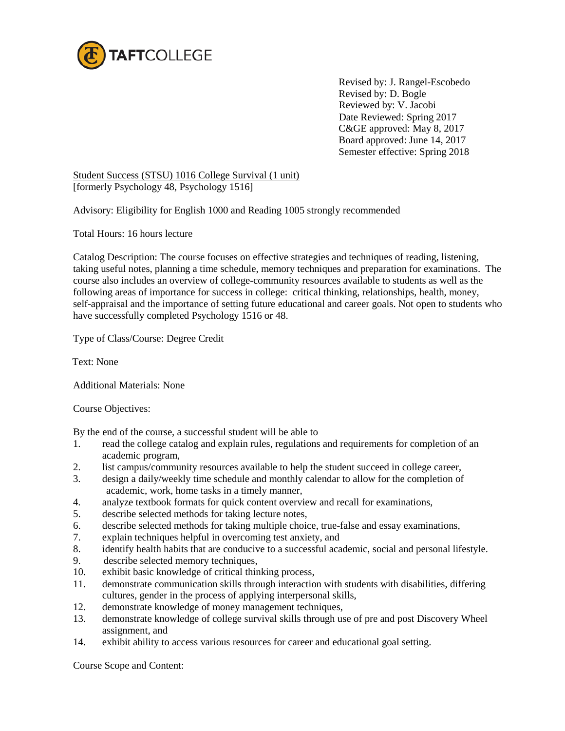

Revised by: J. Rangel-Escobedo Revised by: D. Bogle Reviewed by: V. Jacobi Date Reviewed: Spring 2017 C&GE approved: May 8, 2017 Board approved: June 14, 2017 Semester effective: Spring 2018

Student Success (STSU) 1016 College Survival (1 unit) [formerly Psychology 48, Psychology 1516]

Advisory: Eligibility for English 1000 and Reading 1005 strongly recommended

Total Hours: 16 hours lecture

Catalog Description: The course focuses on effective strategies and techniques of reading, listening, taking useful notes, planning a time schedule, memory techniques and preparation for examinations. The course also includes an overview of college-community resources available to students as well as the following areas of importance for success in college: critical thinking, relationships, health, money, self-appraisal and the importance of setting future educational and career goals. Not open to students who have successfully completed Psychology 1516 or 48.

Type of Class/Course: Degree Credit

Text: None

Additional Materials: None

Course Objectives:

By the end of the course, a successful student will be able to

- 1. read the college catalog and explain rules, regulations and requirements for completion of an academic program,
- 2. list campus/community resources available to help the student succeed in college career,
- 3. design a daily/weekly time schedule and monthly calendar to allow for the completion of academic, work, home tasks in a timely manner,
- 4. analyze textbook formats for quick content overview and recall for examinations,
- 5. describe selected methods for taking lecture notes,
- 6. describe selected methods for taking multiple choice, true-false and essay examinations,
- 7. explain techniques helpful in overcoming test anxiety, and
- 8. identify health habits that are conducive to a successful academic, social and personal lifestyle.
- 9. describe selected memory techniques,
- 10. exhibit basic knowledge of critical thinking process,
- 11. demonstrate communication skills through interaction with students with disabilities, differing cultures, gender in the process of applying interpersonal skills,
- 12. demonstrate knowledge of money management techniques,
- 13. demonstrate knowledge of college survival skills through use of pre and post Discovery Wheel assignment, and
- 14. exhibit ability to access various resources for career and educational goal setting.

Course Scope and Content: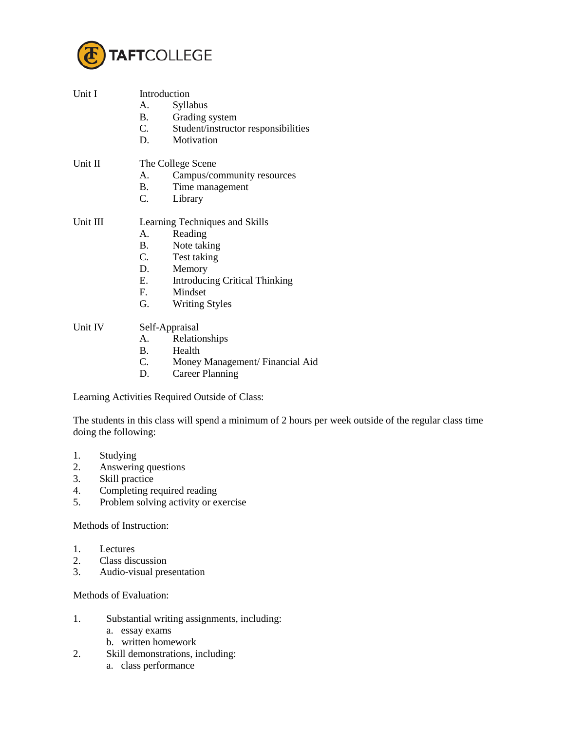

| Unit I   | Introduction                   |                                      |  |
|----------|--------------------------------|--------------------------------------|--|
|          | A.                             | Syllabus                             |  |
|          | <b>B.</b>                      | Grading system                       |  |
|          | C.                             | Student/instructor responsibilities  |  |
|          | D.                             | Motivation                           |  |
| Unit II  | The College Scene              |                                      |  |
|          | A.                             | Campus/community resources           |  |
|          | B.                             | Time management                      |  |
|          | C.                             | Library                              |  |
| Unit III | Learning Techniques and Skills |                                      |  |
|          | $A_{-}$                        | Reading                              |  |
|          | <b>B.</b>                      | Note taking                          |  |
|          | C.                             | Test taking                          |  |
|          | D.                             | Memory                               |  |
|          | E.                             | <b>Introducing Critical Thinking</b> |  |
|          | F.                             | Mindset                              |  |
|          | G.                             | <b>Writing Styles</b>                |  |
| Unit IV  | Self-Appraisal                 |                                      |  |
|          | A.                             | Relationships                        |  |
|          | B.                             | Health                               |  |
|          | C.                             | Money Management/Financial Aid       |  |
|          | D.                             | <b>Career Planning</b>               |  |
|          |                                |                                      |  |

Learning Activities Required Outside of Class:

The students in this class will spend a minimum of 2 hours per week outside of the regular class time doing the following:

- 1. Studying<br>2. Answerin
- Answering questions
- 3. Skill practice
- 4. Completing required reading<br>5. Problem solving activity or example.
- Problem solving activity or exercise

Methods of Instruction:

- 1. Lectures
- 2. Class discussion<br>3. Audio-visual pre-
- 3. Audio-visual presentation

Methods of Evaluation:

- 1. Substantial writing assignments, including:
	- a. essay exams
	- b. written homework
- 2. Skill demonstrations, including:
	- a. class performance